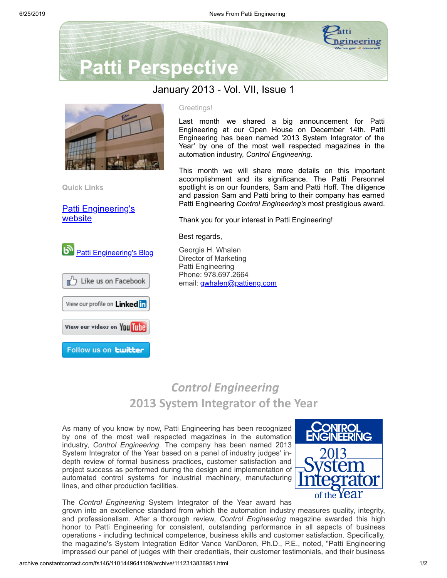

# **Patti Perspective**

#### January 2013 - Vol. VII, Issue 1



**Quick Links**

[Patti Engineering's](http://www.pattieng.com/?utm_source=Copy+of+Patti+Perspective+1_2013&utm_campaign=Patti+Perspective+1_13&utm_medium=archive) website



**D** Like us on Facebook

View our profile on Linked in

View our videos on You Tube

Follow us on **twitter** 



Last month we shared a big announcement for Patti Engineering at our Open House on December 14th. Patti Engineering has been named '2013 System Integrator of the Year' by one of the most well respected magazines in the automation industry, *Control Engineering*.

This month we will share more details on this important accomplishment and its significance. The Patti Personnel spotlight is on our founders, Sam and Patti Hoff. The diligence and passion Sam and Patti bring to their company has earned Patti Engineering *Control Engineering's* most prestigious award.

Thank you for your interest in Patti Engineering!

Best regards,

Georgia H. Whalen Director of Marketing Patti Engineering Phone: 978.697.2664 email: [gwhalen@pattieng.com](mailto:gwhalen@pattieng.com)

## *Control Engineering* **2013 System Integrator of the Year**

As many of you know by now, Patti Engineering has been recognized by one of the most well respected magazines in the automation industry, *Control Engineering*. The company has been named 2013 System Integrator of the Year based on a panel of industry judges' indepth review of formal business practices, customer satisfaction and project success as performed during the design and implementation of automated control systems for industrial machinery, manufacturing lines, and other production facilities.



The *Control Engineering* System Integrator of the Year award has

grown into an excellence standard from which the automation industry measures quality, integrity, and professionalism. After a thorough review, *Control Engineering* magazine awarded this high honor to Patti Engineering for consistent, outstanding performance in all aspects of business operations - including technical competence, business skills and customer satisfaction. Specifically, the magazine's System Integration Editor Vance VanDoren, Ph.D., P.E., noted, "Patti Engineering impressed our panel of judges with their credentials, their customer testimonials, and their business